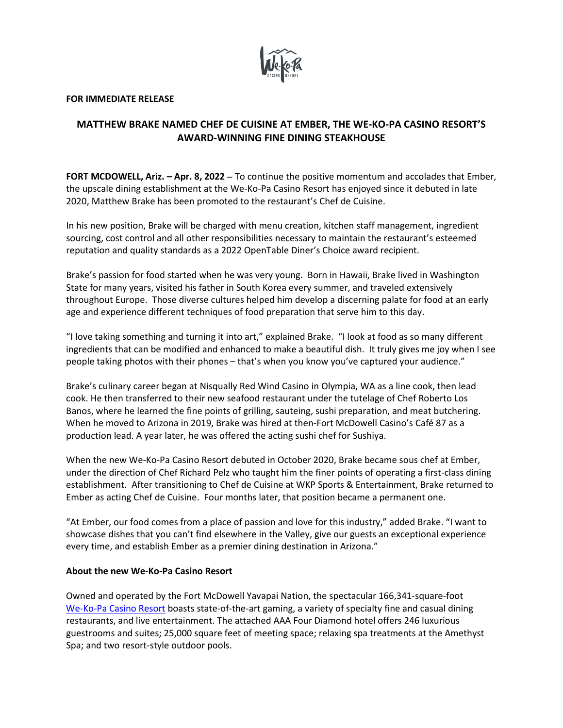

## **FOR IMMEDIATE RELEASE**

## **MATTHEW BRAKE NAMED CHEF DE CUISINE AT EMBER, THE WE-KO-PA CASINO RESORT'S AWARD-WINNING FINE DINING STEAKHOUSE**

**FORT MCDOWELL, Ariz. – Apr. 8, 2022** – To continue the positive momentum and accolades that Ember, the upscale dining establishment at the We-Ko-Pa Casino Resort has enjoyed since it debuted in late 2020, Matthew Brake has been promoted to the restaurant's Chef de Cuisine.

In his new position, Brake will be charged with menu creation, kitchen staff management, ingredient sourcing, cost control and all other responsibilities necessary to maintain the restaurant's esteemed reputation and quality standards as a 2022 OpenTable Diner's Choice award recipient.

Brake's passion for food started when he was very young. Born in Hawaii, Brake lived in Washington State for many years, visited his father in South Korea every summer, and traveled extensively throughout Europe. Those diverse cultures helped him develop a discerning palate for food at an early age and experience different techniques of food preparation that serve him to this day.

"I love taking something and turning it into art," explained Brake. "I look at food as so many different ingredients that can be modified and enhanced to make a beautiful dish. It truly gives me joy when I see people taking photos with their phones – that's when you know you've captured your audience."

Brake's culinary career began at Nisqually Red Wind Casino in Olympia, WA as a line cook, then lead cook. He then transferred to their new seafood restaurant under the tutelage of Chef Roberto Los Banos, where he learned the fine points of grilling, sauteing, sushi preparation, and meat butchering. When he moved to Arizona in 2019, Brake was hired at then-Fort McDowell Casino's Café 87 as a production lead. A year later, he was offered the acting sushi chef for Sushiya.

When the new We-Ko-Pa Casino Resort debuted in October 2020, Brake became sous chef at Ember, under the direction of Chef Richard Pelz who taught him the finer points of operating a first-class dining establishment. After transitioning to Chef de Cuisine at WKP Sports & Entertainment, Brake returned to Ember as acting Chef de Cuisine. Four months later, that position became a permanent one.

"At Ember, our food comes from a place of passion and love for this industry," added Brake. "I want to showcase dishes that you can't find elsewhere in the Valley, give our guests an exceptional experience every time, and establish Ember as a premier dining destination in Arizona."

## **About the new We-Ko-Pa Casino Resort**

Owned and operated by the Fort McDowell Yavapai Nation, the spectacular 166,341-square-foot [We-Ko-Pa Casino Resort](http://www.wekopacasinoresort.com/) boasts state-of-the-art gaming, a variety of specialty fine and casual dining restaurants, and live entertainment. The attached AAA Four Diamond hotel offers 246 luxurious guestrooms and suites; 25,000 square feet of meeting space; relaxing spa treatments at the Amethyst Spa; and two resort-style outdoor pools.